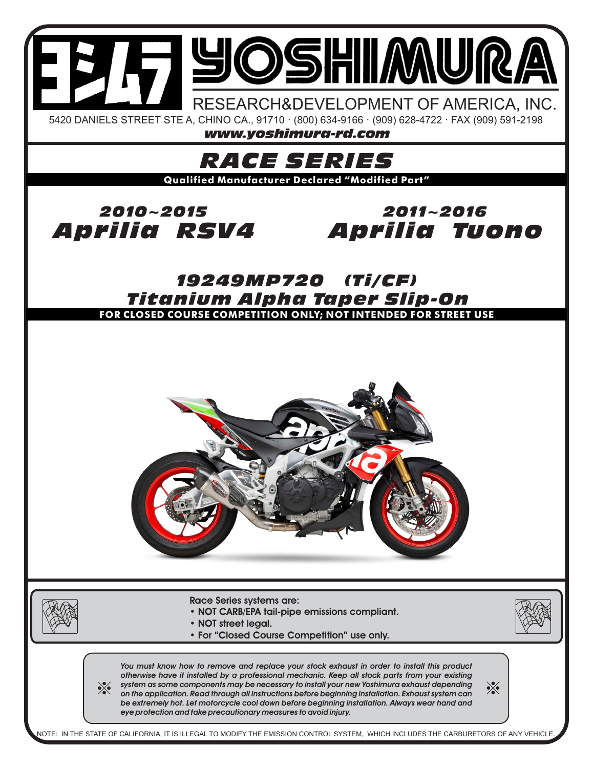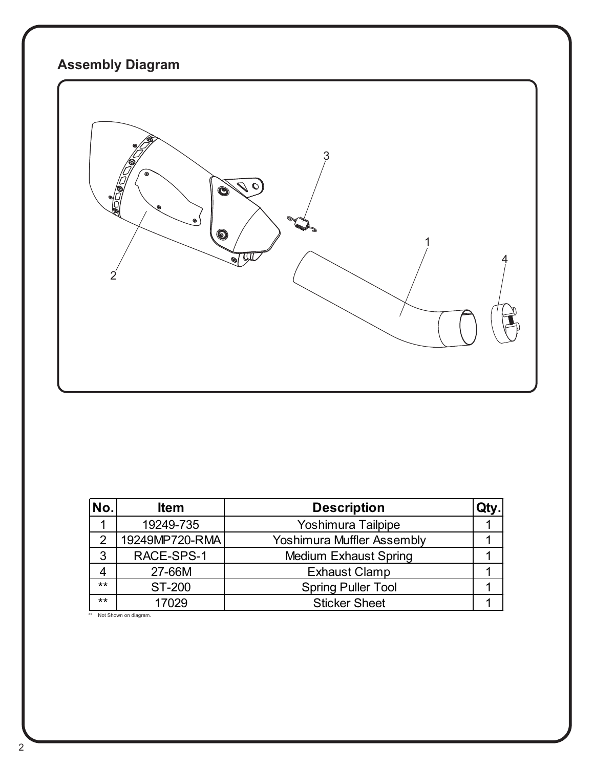# **Assembly Diagram**



| No.   | <b>Item</b>    | <b>Description</b>                |  |
|-------|----------------|-----------------------------------|--|
|       | 19249-735      | Yoshimura Tailpipe                |  |
| っ     | 19249MP720-RMA | <b>Yoshimura Muffler Assembly</b> |  |
| 3     | RACE-SPS-1     | <b>Medium Exhaust Spring</b>      |  |
|       | 27-66M         | <b>Exhaust Clamp</b>              |  |
| $***$ | <b>ST-200</b>  | <b>Spring Puller Tool</b>         |  |
| $***$ | 17029          | <b>Sticker Sheet</b>              |  |

\*\* Not Shown on diagram.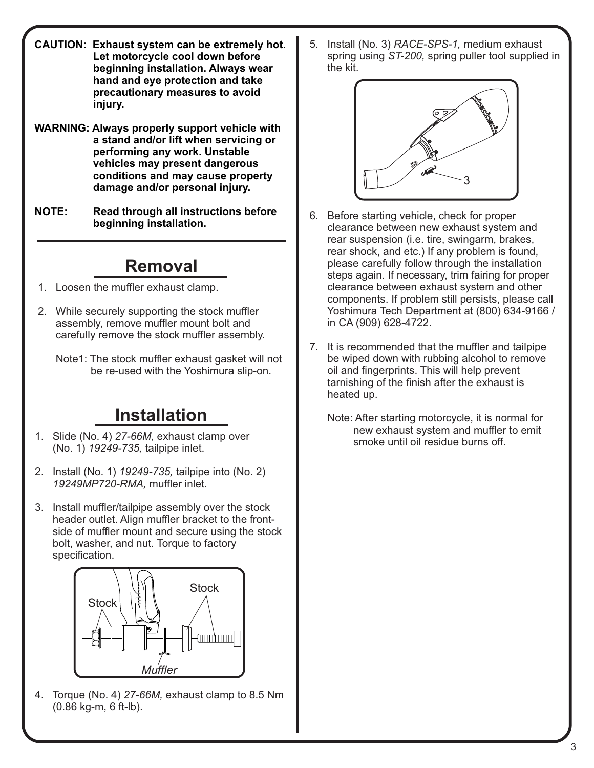- **CAUTION: Exhaust system can be extremely hot. Let motorcycle cool down before beginning installation. Always wear hand and eye protection and take precautionary measures to avoid injury.**
- **WARNING: Always properly support vehicle with a stand and/or lift when servicing or performing any work. Unstable vehicles may present dangerous conditions and may cause property damage and/or personal injury.**
- **NOTE: Read through all instructions before beginning installation.**

### **Removal**

- 1. Loosen the muffler exhaust clamp.
- 2. While securely supporting the stock muffler assembly, remove muffler mount bolt and carefully remove the stock muffler assembly.
	- Note1: The stock muffler exhaust gasket will not be re-used with the Yoshimura slip-on.

# **Installation**

- 1. Slide (No. 4) *27-66M,* exhaust clamp over (No. 1) *19249-735,* tailpipe inlet.
- 2. Install (No. 1) *19249-735,* tailpipe into (No. 2)  *19249MP720-RMA,* muffler inlet.
- 3. Install muffler/tailpipe assembly over the stock header outlet. Align muffler bracket to the front side of muffler mount and secure using the stock bolt, washer, and nut. Torque to factory specification.



4. Torque (No. 4) *27-66M,* exhaust clamp to 8.5 Nm (0.86 kg-m, 6 ft-lb).

5. Install (No. 3) *RACE-SPS-1,* medium exhaust spring using *ST-200,* spring puller tool supplied in the kit.



- 6. Before starting vehicle, check for proper clearance between new exhaust system and rear suspension (i.e. tire, swingarm, brakes, rear shock, and etc.) If any problem is found, please carefully follow through the installation steps again. If necessary, trim fairing for proper clearance between exhaust system and other components. If problem still persists, please call Yoshimura Tech Department at (800) 634-9166 / in CA (909) 628-4722.
- 7. It is recommended that the muffler and tailpipe be wiped down with rubbing alcohol to remove oil and fingerprints. This will help prevent tarnishing of the finish after the exhaust is heated up.
	- Note: After starting motorcycle, it is normal for new exhaust system and muffler to emit smoke until oil residue burns off.